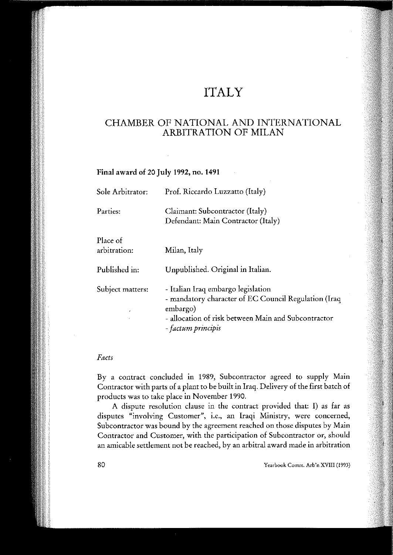# ITALY

# CHAMBER OF NATIONAL AND INTERNATIONAL ARBITRATION OF MILAN

## Final award of 20 July 1992, no. 1491

| Sole Arbitrator:         | Prof. Riccardo Luzzatto (Italy)                                                                                                                                                     |
|--------------------------|-------------------------------------------------------------------------------------------------------------------------------------------------------------------------------------|
| Parties:                 | Claimant: Subcontractor (Italy)<br>Defendant: Main Contractor (Italy)                                                                                                               |
| Place of<br>arbitration: | Milan, Italy                                                                                                                                                                        |
| Published in:            | Unpublished. Original in Italian.                                                                                                                                                   |
| Subject matters:         | - Italian Iraq embargo legislation<br>- mandatory character of EC Council Regulation (Iraq<br>embargo)<br>- allocation of risk between Main and Subcontractor<br>- factum principis |

# *Fact,*

By a contract concluded in 1989, Subcontractor agreed to supply Main Contractor with parts of a plant to be built in Iraq. Delivery of the first batch of products was to take pIace in November 1990.

A dispute resolution clause in the contract provided that: I) as far as disputes "involving Customer", i.e., an Iraqi Ministry, were concerned, Subcontractor was bound by the agreement reached on those disputes by Main Contractor and Customer, with the participation of Subcontractor or, should an amicable settlement not be reached, by an arbitral award made in arbitration

Yearhook Comm. Arb'n XVIII (1993)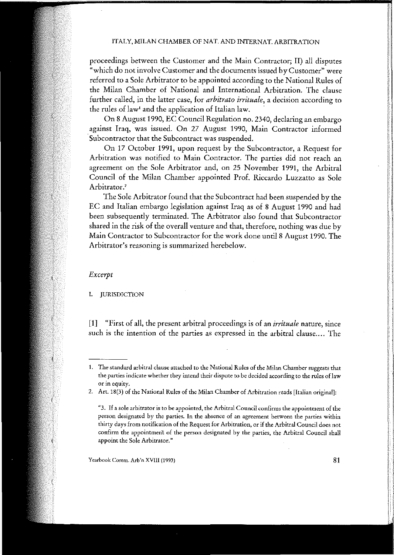proceedings between the Customer and the Main Contractor; II) ali disputes **"which do not involve Customer and the documents issued byCustomee' were** referred to a Sole Arbitrator to be appointed according to the National Rules of the Milan Chamber of National and International Arbitration. The clause **further ealled, in the latter case, for** *arbitrato irrituale,* **a decision aeeording to** the rules of law' and the application of Italian law.

On 8 August 1990, EC Council Regulation no. 2340, declaring an embargo **against Iraq, was issued. On 27 August 1990, Main Contraetor informed** Subcontractor that the Subcontract was suspended.

On 17 October 1991, upon request by the Subcontractor, a Request for **Arbitration was notified to Main Contractor. The parties did not reach an** agreement on the Sole Arbitrator and, on 25 November 1991, the ArbitraI Council of the Milan Chamber appointed Prof. Riccardo Luzzatto as Sole **Arbitrator. <sup>2</sup>**

The Sole Arbitrator found that the Subcontract had been suspended by the EC and Italian embargo legislation against Iraq as of 8 August 1990 and had been subsequently terminated. The Arbitrator also found that Subcontractor shared in the risk of the overall venture and that, therefore, nothing was due by Main Contractor to Subcontractor for the work done until 8 August 1990. The **Arbitrator's reasoning is summarized herebelow.**

#### *Excerpt*

I. JURISDICTION

**[1] "First of all, the present arbitraI proceedings is of an** *irrituale* **nature, since such is the intention of the parties as expressed in the arbitraI clause.... The**

**Yearbook Comm. Arb'n XVIII (1993)**

**<sup>1.</sup> The standard arbitrai dause attached to the National Rules of the Milan Chamber suggests that the parties indicate whether they intend their dispute to be decided according to the rules oflaw or in equity.**

**<sup>2.</sup> Art. 18(3) of the National Rules of the Milan Chamber of Arbitration reads [Italian originai]:**

**<sup>&</sup>quot;3. If a sole arbitrator is to be appointed. the Arbitrai Council confirms the appointment ofthe person designated by thc parties. In the absence of an agreement between the parties within thirty days from nocification of the Request for Arbitration, or if the Arbitrai Council does not confirm the appointmerit of the person designated by the parties, the Arbitrai Council shall appoint the Sole Arbitrator."**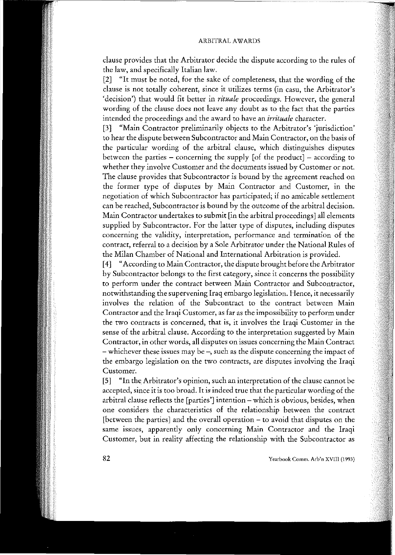clause provides that the Arbitrator decide the dispute according to the rules of the law, and specifica11y Iralian Iaw.

[2] "It must be noted, for the sake of completeness, that the wording of the **clause is not totally coherent, since it utilizes terms (in caSli, the Arbitrator's** 'decision') that would fit better in *rituale* proceedings. However, the general wording of the dause does not leave any doubt as to the faet that the parties **intended the proceedings and the award to have an** *irrituale* **character.**

[3] "Main Contractor preliminarily objects to the Arbitrator's 'jurisdiction' **to hear the dispute between Subcontractor and Main Contraetor, on tbc basis af** the partieular wording of the arbitraI dause, whieh distinguishes disputes between the parties  $-$  concerning the supply [of the product]  $-$  according to **whether they involve Customer and the documents issued by Customer or noto** The dause provides that Subcontraetor is bound by the agreement reaehed on the former type of disputes by Main Contraetor and Customer, in the **negotiation af which Subcontractor has participated; if no arnicable settlement can be reached, Subcontractor is bound by the outcome af the arbitraI decision.** Main Contractor undertakes to submit [in the arbitral proceedings] all elements supplied by Subcontractor. For the latter type of disputes, including disputes **concerning the validity, interpretation, performance and termination af the contrae!, referrai to a decision by a Sole Arbitrator under the National Rules of** the Milan Chamber of National and International Arbitration is provided.

[4] "According to Main Contraetor, the dispute brought before the Arbitrator **by Subcontractor be10ngs to the first category, since it concerns the possibility to perform under the contract between Main Contractor and Subcontractor, notwithstanding the supervening Iraq embargo legislation. Hence, it necessarily involves the relation of the Subcontract to the contract between Main Contractor and the Iraqi Customer, as far as the impossibility to perform under the two contracts is concerned, that is, it involves the Iragi Customer in the** *sense* of the arbitraI dause. Aeeording to the interpretation suggested by Main **Contractor, in other words, alI disputes on issues concerning the Main Contract - whichever these issues may be -, such as the dispute concerning the impact of the embargo legislation on the two contracts, are disputes involving the Iraqi Customer.**

**[5] "In the, Arbitrator's opinion, such an interpretation of the clause cannot be accepted, since it is too broad. It isindeed true that the particular wording ofthe arbitraI clause reflects the [parties'] intention - which is obvious, besides, when one considers the characteristics of the relationship between the contract** [between the parties] and the overall operation - to avoid that disputes on the **same issues, apparently onIy concerning Main Contractor and the Iraqi Customer, but in reaIity affecting the relationship with the Subcontractor as**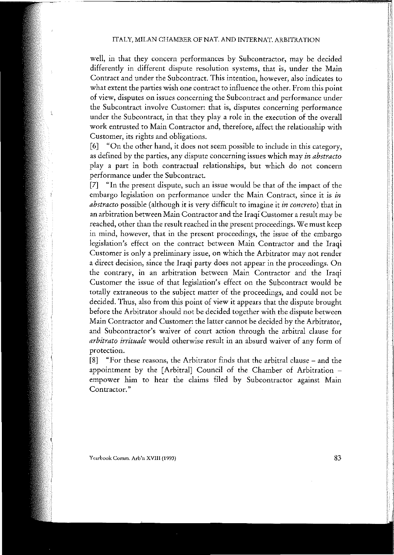well, in that they concern performances by Subcontractor, may be decided **differently in different dispute resolution systems, that is, under thc Main Contrae! and under the Subcontract. This intention, however, alsa indicates to what extent the parties wish ane contrae! to influence the other. From this paiot cf view, disputes on issues concerning the Subcontract and performance under the Subcontract involve Customer: that is, disputes concerning performance** under the Subcontract, in that they play a role in the execution of the overall **work entrusted to Main Contraetor and, thereforc, affect the relationship with Customer, its rights and obligations.**

[6] "On the other hand, it does not seem possible to include in this category, **as defined by the parties, any dispute concerning issues which may** *in abstracto* **play a pan in both contractual relationships, but which do not concern performance under the Subcontract.**

[7] "In the present dispute, such an issue would be that of the impact of the **embargo legislation on performance under the Main Contract, since it is** *in abstraeto* possible (although it is very difficult to imagine it *in concreto)* that in **an arbitration between Main Contractor and the Iraqi Customer a result may be** reached, other than the result reached in the present proceedings. We must keep **in mind, however, that in the present proceedings, the issue of the embargo legislation's effect on the contract between Main Contractor and the Iraqi Customer is only a pre1iminary issue, on which the Arbitrator may not render a direct decision, since the Iraqi party does not appear in the proceedings. On the contrary, in an arbitration between Main Contractor and the Iraqi** Customer the issue of that legislation's effect on the Subcontract would be totally extraneous to the subject matter of the proceedings, and could not be decided. Thus, also from this point of view it appears that the dispute brought before the Arbitrator should not be decided together with the dispute between Main Contractor and Customer: the latter cannot be decided by the Arbitrator, **and Subcontractor's waiver of court action through the arbitraI clause for** *arbitrato irrituale* **would otherwise resuIt in an absurd waiver of any form of protection.**

[8] "For these reasons, the Arbitrator finds that the arbitrai dause - and the appointment by the [ArbitraI] Council of the Chamber of Arbitration empower him to hear the claims filed by Subcontractor against Main **Contractor."**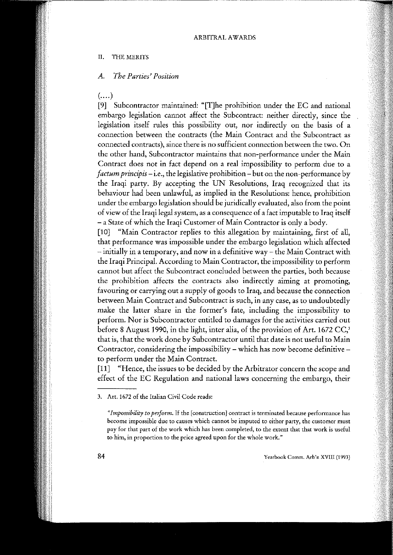#### II. THE MERITS

#### *A. The Parties' Position*

(….)<br>[9]

Subcontractor maintained: "[T]he prohibition under the EC and national embargo legislation cannot aHeet the Subcontract: neither directly, since the legislation itself rules this possibility out, nor indireetly on the basis of a **connection between the contracts (the Main Contrae! and the Subcontract as conoceted contracts), since there is no sufficient connection between thc two. 00 the ather hand, Subcontractor maintains that non-performance under the Main Contrae! does no! in faet depend 00 areaI impossibility to perform due to a** *factum principis*- i.e., the legislative prohibition - but on the non-performance by the Iraqi party. By aeeepting the UN Resolutions, Iraq recognized that its behaviour had been unlawful, as implied in the Resolutions: henee, prohibition under the embargo legislation should be juridically evaluated, also from the point of view of the Iraqi legai system, as a consequence of a fact imputable to Iraq itself - a State of which the Iraqi Customer of Main Contractor is only a body.

[10] "Main Contractor replies to this allegation by maintaining, first of all, that performance was impossible under the embargo legislation which affected - **initially in a temporary, and now in a definitive way - the Main Contrae! with** the Iraqi Principal. According to Main Contractor, the impossibility to perform cannot but aHect the Subcontract concluded between the parties, both because **thc prohibition affeets the eontracts alsa indirectly aiming at promoting,** favouring or carrying out a supply of goods to Iraq, and because the connection **between Main Contrae! and Subcontract is such, in any case, as to undoubtedly** make the latter share in the former's fate, including the impossibility to **perform. Nor is Subeontraetor entitled to damages for the aetivities earried out** before 8 August 1990, in the light, inter alia, of the provision of Art. 1672 CC,' that is, that the work done by Subcontractor until that date is not useful to Main **Contraetor, eonsidering the impossibility - whieh has now become definitiveto perform under the Main Contraet.**

[11] "Hence, the issues to be decided by the Arbitrator concern the scope and effect of the EC Regulation and national laws concerning the embargo, their

**Yearbook Comm. Arb'n XVIII (t 993)**

**<sup>3.</sup> Art. 1672 of tbe Italian Civil Code reads:**

*<sup>&</sup>lt;Clmpossibility to per/orm.* **If the [construction] contract is terminated because performance has become impossible due to causes which cannot be imputed to either party, the customer must** pay for that part of the work which has been completed, to the extent that that work is useful **to him, in proportion to the price agreed upon far tbe whole work."**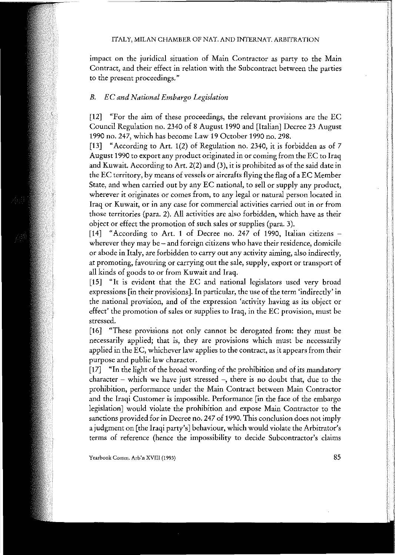**impact on the juridical situation of Main Contractor as party to the Main Contraet, and their effect in relation with the Subcontract between the parties to the present proceedings."**

## *B. EC and National Embargo Legislation*

[12] "For the aim of these proceedings, the relevant provisions are the EC Counci! Regulation no. 2340 of 8 August 1990 and [Italian] Decree 23 August 1990 no. 247, which has become Law 19 October 1990 no. 298.

[13] "According to Art. 1(2) of Regulation no. 2340, it is forbidden as of 7 August 1990 to export any product originated in or coming from the EC to Iraq and Kuwait, According to Art. 2(2) and (3), it is prohibited as of the said date in the EC territory, by means of vessels or aircrafts flying the flag of a EC Member State, and when carried out by any EC national, to sell or supply any product, **wherever it originates or comes from, to any legai or natural person Ioeateci in Iraq or Kuwait, or in any case for commerciaI activities carried out in or from** those territories (para. 2). Ali activities are also forbidden, which have as their object or effect the promotion of such sales or supplies (para. 3).

[14] "According to Art. 1 of Decree no. 247 of 1990, Italian citizens **wherever they may be - and foreign citizens who have their residence, domicile or abode in Italy, are forbidden to carry out any activity aiming, alsa indirect1y, at prornoting, favouring or carrying out the sale, supply, export or transport of** aIl kinds of goods to or from Kuwait and Iraq.

[15] "It is evident that the EC and national legislators used very broad **expressions [in their provisionsJ. In particular, the use of the terro 'indirectly' in the national provision, and of the expression 'activity having as its object or effect' the promotion of sales or supplies to Iraq, in the EC provision, must be stressed.**

[16] "These provisions not only cannot be derogated from: they must be **necessarily applied; that is, they are provisions which must be necessarily** applied in the EC, whichever law applies to the contract, as it appears from their purpose and public law character.

[17] "In the light of the broad wording of the prohibition and of its mandatory **character - which we have just stressed -, there is no doubt that, due to the prohibition, pedormance under the Main Contraet between Main Contractor** and the Iraqi Customer is impossible. Performance [in the face of the embargo legislation] would violate the prohibition and expose Main Contractor to the sanctions provided for in Decree no. 247 of 1990. This conclusion does not imply a judgment on [the Iraqi party's] behaviour, which would violate the Arbitrator's **terms of reference (hence the impossibility to decide Subeontractor's claims**

**Ycarbook Comm. Arb'n XVIII (1993)**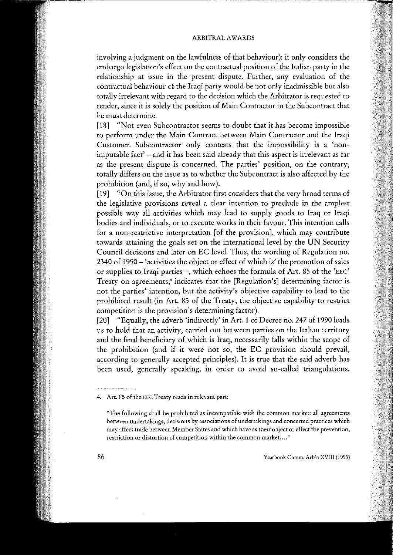#### ARBITRAL AWARDS

involving a judgment on the lawfulness of that behaviour): it only considers thc embargo legislation's cffect on the contractual position of the Italian party in the **relationship at issue in the present dispute. Further, any evaluation cf the** contractual behaviour of the Iraqi party would be not only inadmissible but also tota11y irrelevant with regard to the decision which the Arbitrator is requested to **render, since it is solely the position cf Main Contraetor in the Subcontract that he must determine.**

[18] "Not even Subcontractor seems to doubt that it has become impossible **to perform under the Main Contrae! between Main Contractor and the Iraqi Customer. Subcontractor only contests that the impossibility is a 'non**imputable fact' - and it has been said already that this aspect is irrelevant as far **as the present dispute is concerned. Thc parties' position, on the contrary,** tota11y differs on the issue as to whether the Subcontract is also affeeted by the prohibition (and, if so, why and how).

[19] "On this issue, the Arbitrator first considers that the very broad terms of **the legislative provisions reveal a dear intention to preclude in the amplest** possible way a11 activities which may lead to supply goods to Iraq or Iraqi **bodies and individuals, or to execute works in their favour. This intention calls for a non-restrictive interpretation [af the provision], which may contribute** towards attaining the goals set on the international level by the UN Security Council decisions and later on EC level. Thus, the wording of Regulation no. 2340 of 1990 - 'activities the object or effect of which is' the promotion of sales or supplies to Iraqi parties -, which echoes the formula of Art. 85 of the 'EEC' **Treaty on agreements,4 indicates that the [Regulation's] determining factor is not the parties' intention, but the activity's objective capability to lead to the** prohibited result (in Art. 85 of the Treaty, the objective capability to restrict **competition is the provision's determining factor).**

[20] "Equally, the adverb 'indirectly' in Art. 1 of Decree no. 247 of 1990 leads **us to hold that an activity, carried out between parties on the Italian territory** and the final beneficiary of which is Iraq, necessarily falls within the scope of the prohibition (and if it were not *so,* the EC provision should prevai!, according to generally accepted principles). It is true that the said adverb has been used, generally speaking, in order to avoid so-called triangulations.

**<sup>4.</sup> Art. 85 of the EEC Treaty reads in relevant part:**

**<sup>&</sup>quot;The following shall be prohibited as incompatible with the common market: aH agreements bctwcen undertakings, dccisions by associations of undertakings and concerted practices which may affect trade between Member States and which have as thcir objcct or cffcct the prevention, restriction or distorcion of competicion within the common market.... "**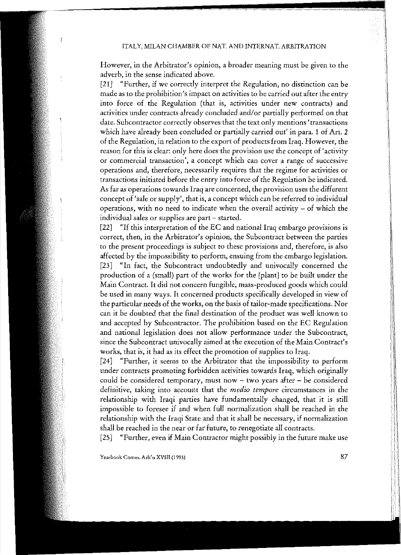$\mathbf{f}$ 

**However, in the Arbitrator's opinion, a broader meaning must be given to the adverb, in the scuse indicated above.**

[21] "Further, if we correctly interpret the Regulation, no distinction can be **made as to the prohibition's impact on activities to be** carried **out after the entry into force of the Regulation (thar is, activities under new contracts) and** activities under contracts already concluded *and/or* partialIy performed on that **date. Subcontractor correctly observes thar the tex! anIy mentions 'transactions** which have already been concluded or partially carried out' in para. 1 of Art. 2 of the Regulation, in relation to the export of products from Iraq. However, the **reason** for this is clear: only here does the provision use the concept of 'activity **or commercial transaction'**, a concept which can cover a range of successive **operations and, therefore, necessariI y requires that the regime for activities or transactions initiated before me entry into force of the Regulation be indicated. As far as operations towards Iraq are concerned, the provision uses the different concept of 'sale or suppIy', that is, a concept which can be referred to individuaI operations, with no need to indicate when the overall activity - of which the individuaI sales or supplies are part - started.**

[22] "If this interpretation of the EC and national Iraq embargo provisions is **correct, then, in the Arbitrator's opinion, the Subcontract between the parties to the present proceedings is subject to these provisions and, therefore,** *is* **also** affected by the impossibility to perform, ensuing from the embargo legislation. [23] "In fact, the Subcontract undoubtedly and univocally concerned the production of a (small) part of the works for the [plant] to be built under the Main Contract. It did not concern fungible, mass-produced goods which could be used in many ways. It concerned products specifically developed in view of the particular needs of tbe works, on the basis of tailor-made specifications. Nor can it be doubted that tbe final destination of the product was well known to and accepted by Subcontractor. The prohibition based on the EC Regulation **and national Iegislation does not allow performance under the Subcontract, since the Subcontract univocally aimed at the execution of the Main Contract's** works, that is, it had as its effect the promotion of supplies to Iraq.

[24] "Further, it seems to the Arbitrator that the impossibility to perform under contracts promoting forbidden activities towards Iraq, which originally **couId be considered temporary, must now - two years after - be considered definitive, taking into account that the** *medio tempore* **circumstances in me** relationship with Iraqi parties have fundamentally changed, that it is still impossible to foresee if and when full normalization shall be reached in the relationship with the Iraqi State and tbat it shall be necessary, if normalization **shall be reached in the near or far future, to renegotiate all contracts.**

[25] "Further, even if Main Contractor might possibly in the future make use

**Yearbaak** *Camm.* **Arb'n XVIII (1993)** 87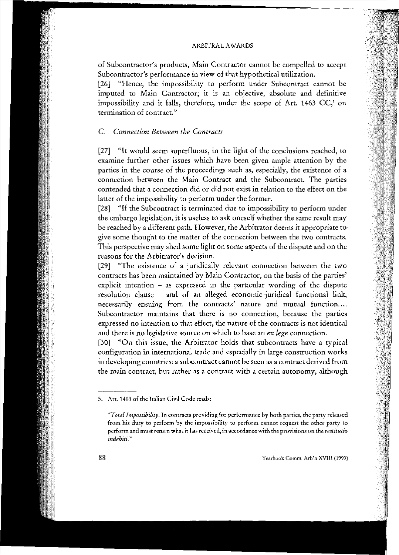of Subcontractor's products, Main Contractor cannot be compelled to accept Subcontractor's performance in view of that hypothetìcal utilization.

[26] "Hence, the impossibility to perform under Subcontract cannot be imputed to Main Contractor; it is an objective, absolute and definitive impossibility and it faHs, therefore, under the scope of Art. 1463 CC,' on termination of contract."

## C. *Conneetion Between the Contracts*

[27] "It would seem superfluous, in the light of the conclusions reached, to examine further other issues which have been given ample attention by the parties in the course of the proceedings such as, especially, thc existence of a connection between the Main Contract and the Subcontract. The parties contended that a connection did or did not exist in relation to the effect on the latter of the impossibility to perform under the former.

[28] "If the Subcontract is terminated due to impossibility to perform under the embargo legislation, it is useless to ask oneself whether the same result may be reached by a different path. However, the Arbitrator deems it appropriate to give some thought to the matter of the connection between the two contracts. This perspective may shed some light on some aspects of the dispute and on the reasons for the Arbitrator's decision.

[29] "The existence of a juridically relevant connection between the two contracts has been maintained by Main Contractor, on the basis of the parties' explicit intention - as expressed in the particular wording of the dispute resolution dause - and of an aHeged economie-juridical functional link, necessarily ensuing from the contracts' nature and mutual function.... Subcontractor maintains that there is no connection, because the parties expressed no intention to that effect, the nature of the contracts is not identical and there is no legislative source on which to base an *ex lege* connection.

[30] "On this issue, the Arbitrator holds that subcontracts have a typical configuration in international trade and especially in large construction works in developing countries: a subcontract cannot be seen as a contract derived from the main contract, but rather as a contract with a certain autonomy, although

<sup>5.</sup> Art. 1463 of the Italian Civil Code reads:

*<sup>&</sup>quot;TotaIlmpossibiIity.* In contracts providing for performance by both parties, the party released from his duty to perform by the impossibility to perform cannot request the other party to perform and must return what it has received. in accordance with the provisions on the *restitutio indebiti."*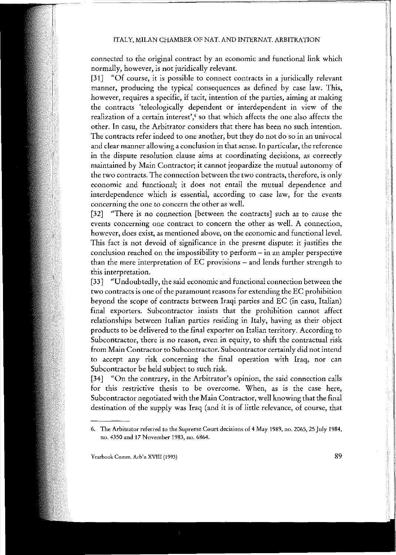connected to the original contract by an economic and functional link which normally, however, is not juridically relevant.

[31] "Of course, it is possible to connect contracts in a juridically relevant manner, producing the typicai consequences as defined by case law. This, however, requires a specific, if tacit, intention of the parties, aiming at making the contracts 'teleologicaUy dependent or interdependent in view of the realization of a certain interest',  $\overline{\ }$  so that which affects the one also affects the other. In casu, the Arbitrator considers that there has been no such intention. The contracts refer indeed to one another, but they do not do so in an univocal and clear manner allowing a conclusion in that sense. In particular, the reference in the dispute resolution clause aims at coordinating decisions, as correcdy maintained by Main Contractor; it cannot jeopardize the mutual autonomy of the two contracts. The connection between the two contracts, therefore, is only economie and functional; it does not entail the mutuaI dependence and interdependence which is essentiaI, according to case law, for the events concerning the one to concern the other as well.

[32] "There is no connection [between the contracts] such as to cause the events concerning one contract to concern the other as well. A connection, however, does exist, as mentioned above, on the economic and functional level. This fact is not devoid of significance in the present dispute: it justifies the conclusion reached on the impossibility to perform  $-$  in an ampler perspective than the mere interpretation of EC provisions - and lends further strength to this interpretation.

[33] "Undoubtedly, the said economic and functional connection between the two contracts is one of the paramount reasons for extending the EC prohibition beyond the scope of contracts between Iraqi parties and EC (in casu, Italian) finaI exporters. Subcontractor insists that the prohibition cannot affect relationships between Italian parties residing in ItaIy, having as their object products to be delivered to the final exporter on ltalian territory. According to Subcontractor, there is no reason, even in equity, to shift the contractual risk from Main Contractor to Subcontractor. Subcontractor certainly did not intend to accept any risk concerning the final operation with Iraq, nor can Subcontraetor be held subject to such risk.

[34] "On the contrary, in the Arbitrator's opinion, the said connection calls for this restrictive thesis to be overcome. When, as is the case here, Subcontractor negotiated with the Main Contractor, well knowing that the final destination of the supply was Iraq (and it is of little relevance, of course, that

Yearbook Comm. Arb'n XVIII (1993) 89

<sup>6.</sup> The Arbitrator referred to the Supreme Court decisions of 4 May 1989, no. 2065, 25 ]uly 1984, no. 4350 and 17 November 1983, no. 6864.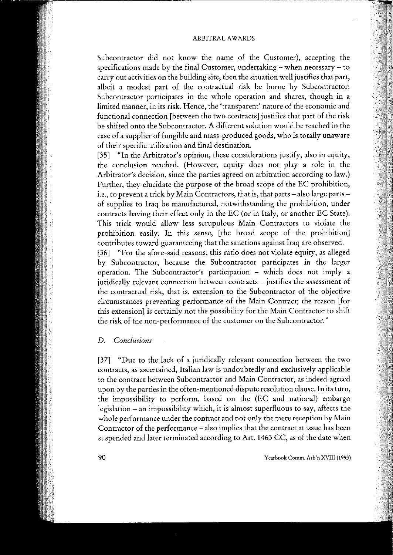Subcontractor did not know the name of the Customer), aceepting the specifications made by the finai Customer, undertaking - when necessary - to carry out activities on the building site, then the situation well justifies thar part, albeit a modest part of the eontractual risk be bome by Subeontractor: Subcontractor participates in the whole operation and shares, though in a limited manner, in its risk. Hence, the 'transparent' nature of the economie and functional connection [between the two contracts] justifies that part of the risk be shifted onto the Subeontraetor. A different solution would be reaehed in the case of a supplier of fungible and mass-produeed goods, who is totally unaware of their specific utilization and finai destination.

[35] "In the Arbitrator's opinion, these considerations justify, also in equity, the conclusion reached. (However, equity does not play a role in the Arbitrator's decision, since the parties agreed on arbitration according to law.) Further, they elucidate the purpose of the broad scope of the EC prohibition, i.e., to prevent a trick by Main Contractors, that is, that parts - also large parts of supplies to Iraq be manufactured, notwithstanding the prohibition, under contracts having their effect only in the EC (or in Italy, or another EC State). This trick would allow less scrupulous Main Contraetors to violate the prohibition easily. In this sense, [the broad scope of the prohibition] contributes toward guaranteeing that the sanctions against Iraq are observed.

[36] "For the afore-said reasons, this ratio does not violate equity, as alleged by Subcontractor, because the Subcontractor participates in the larger operation. The Subcontractor's participation - which does not imply a juridically relevant connection between contracts - justifies the assessment of the contractual risk, that is, extension to the Subcontractor of the objective circumstances preventing performance of the Main Contract; the reason [for this extension] is certainly not the possibility for the Main Contractor to shift the risk of the non-performance of the customer on the Subcontractor."

## *D. Conclusions*

[37] "Due to the lack of a juridically relevant connection between the two contracts, as ascertained, Italian law is undoubtedly and exclusively applicable to the contract between Subcontractor and Main Contractor, as indeed agreed upon by the parties in the often-mentioned dispute resolution clause. In its turn, the impossibility to perform, based on the (EC and national) embargo legislation - an impossibility which, it is almost superfluous to say, affects the whole performance under the contract and not only the mere reception by Main Contractor of the performance - also implies that the contract at issue has been suspended and later terminated according to Art. 1463 CC, as of the date when

90 Yearhook Comm. Arb'n XVIII (1993)